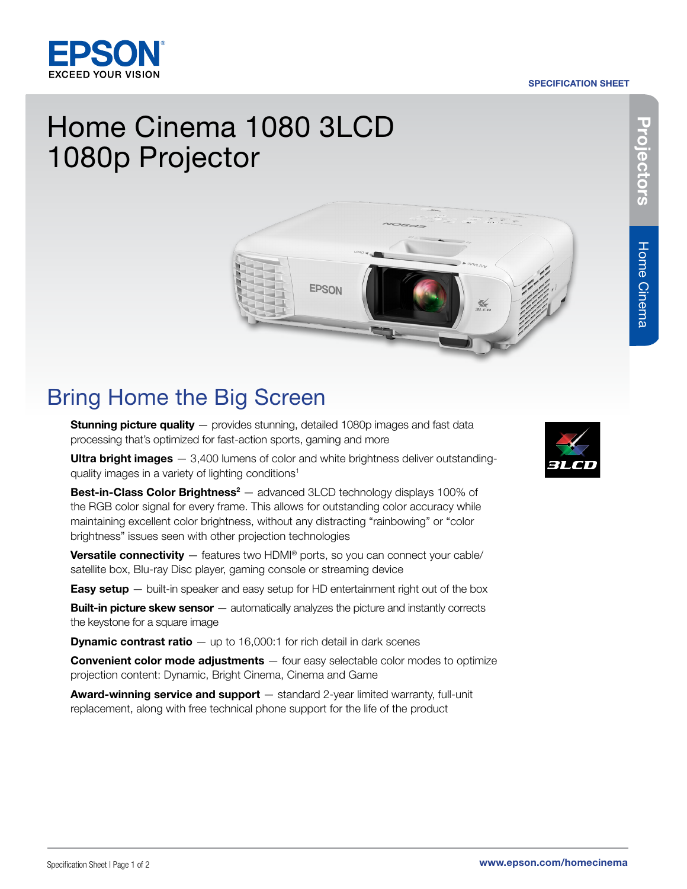#### SPECIFICATION SHEET



## Home Cinema 1080 3LCD 1080p Projector



# **Home Cinema**

### Bring Home the Big Screen

**Stunning picture quality** — provides stunning, detailed 1080p images and fast data processing that's optimized for fast-action sports, gaming and more

**Ultra bright images**  $-$  3,400 lumens of color and white brightness deliver outstandingquality images in a variety of lighting conditions<sup>1</sup>

**Best-in-Class Color Brightness<sup>2</sup>** — advanced 3LCD technology displays 100% of the RGB color signal for every frame. This allows for outstanding color accuracy while maintaining excellent color brightness, without any distracting "rainbowing" or "color brightness" issues seen with other projection technologies

**Versatile connectivity**  $-$  features two HDMI<sup>®</sup> ports, so you can connect your cable/ satellite box, Blu-ray Disc player, gaming console or streaming device

**Easy setup**  $-$  built-in speaker and easy setup for HD entertainment right out of the box

**Built-in picture skew sensor** — automatically analyzes the picture and instantly corrects the keystone for a square image

**Dynamic contrast ratio**  $-$  up to 16,000:1 for rich detail in dark scenes

**Convenient color mode adjustments**  $-$  four easy selectable color modes to optimize projection content: Dynamic, Bright Cinema, Cinema and Game

Award-winning service and support - standard 2-year limited warranty, full-unit replacement, along with free technical phone support for the life of the product



Projectors

Projectors

Home Cinema